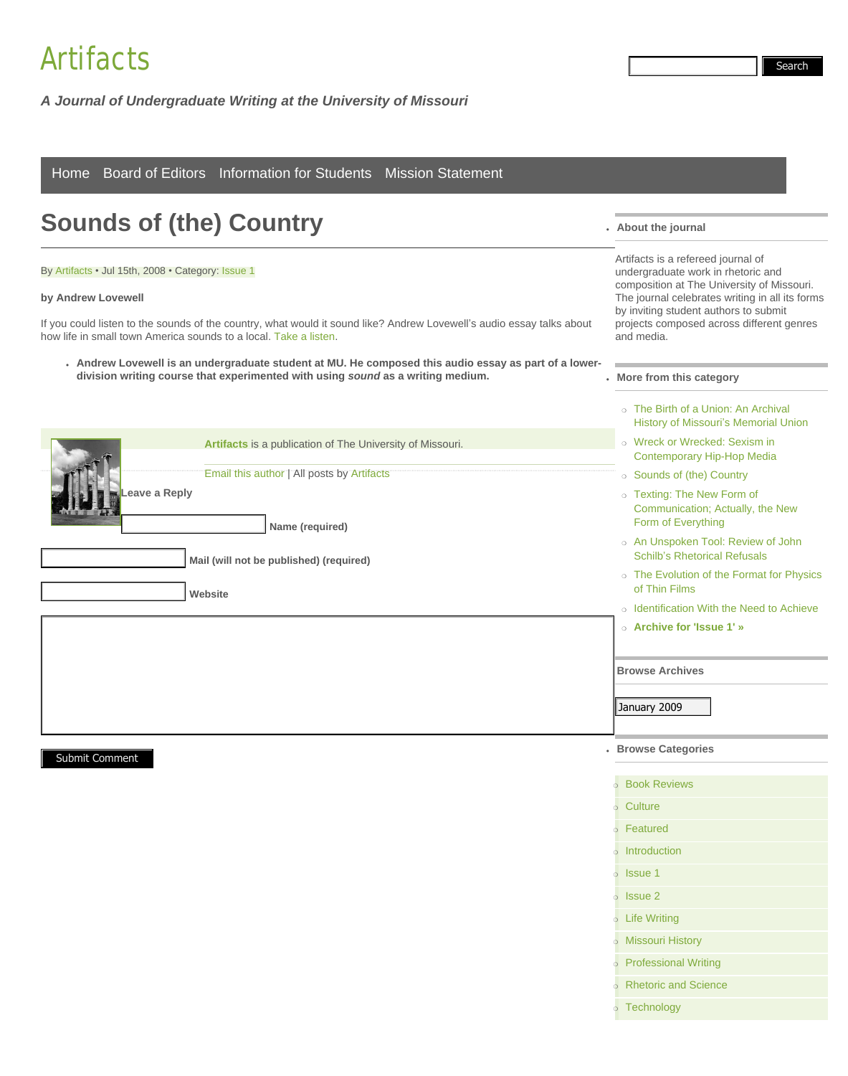## [Artifacts](http://comp.missouri.edu/artifacts/)

| Board of Editors Information for Students Mission Statement<br>Home                                                                                                                                                                                                                                                                                                                                                                                              |                                                                                                                                                                                                                                                                                                            |  |
|------------------------------------------------------------------------------------------------------------------------------------------------------------------------------------------------------------------------------------------------------------------------------------------------------------------------------------------------------------------------------------------------------------------------------------------------------------------|------------------------------------------------------------------------------------------------------------------------------------------------------------------------------------------------------------------------------------------------------------------------------------------------------------|--|
| <b>Sounds of (the) Country</b>                                                                                                                                                                                                                                                                                                                                                                                                                                   | . About the journal                                                                                                                                                                                                                                                                                        |  |
| By Artifacts · Jul 15th, 2008 · Category: Issue 1<br>by Andrew Lovewell<br>If you could listen to the sounds of the country, what would it sound like? Andrew Lovewell's audio essay talks about<br>how life in small town America sounds to a local. Take a listen.<br>. Andrew Lovewell is an undergraduate student at MU. He composed this audio essay as part of a lower-<br>division writing course that experimented with using sound as a writing medium. | Artifacts is a refereed journal of<br>undergraduate work in rhetoric and<br>composition at The University of Missouri.<br>The journal celebrates writing in all its forms<br>by inviting student authors to submit<br>projects composed across different genres<br>and media.<br>. More from this category |  |
|                                                                                                                                                                                                                                                                                                                                                                                                                                                                  | ○ The Birth of a Union: An Archival<br><b>History of Missouri's Memorial Union</b>                                                                                                                                                                                                                         |  |
| <b>Artifacts</b> is a publication of The University of Missouri.<br>Email this author   All posts by Artifacts<br>eave a Reply                                                                                                                                                                                                                                                                                                                                   | o Wreck or Wrecked: Sexism in<br><b>Contemporary Hip-Hop Media</b><br>○ Sounds of (the) Country<br>o Texting: The New Form of                                                                                                                                                                              |  |
| Name (required)                                                                                                                                                                                                                                                                                                                                                                                                                                                  | Communication; Actually, the New<br>Form of Everything<br>o An Unspoken Tool: Review of John                                                                                                                                                                                                               |  |
| Mail (will not be published) (required)<br><b>Website</b>                                                                                                                                                                                                                                                                                                                                                                                                        | <b>Schilb's Rhetorical Refusals</b><br>o The Evolution of the Format for Physics<br>of Thin Films                                                                                                                                                                                                          |  |
|                                                                                                                                                                                                                                                                                                                                                                                                                                                                  | ○ Identification With the Need to Achieve<br>○ Archive for 'Issue 1' »                                                                                                                                                                                                                                     |  |
|                                                                                                                                                                                                                                                                                                                                                                                                                                                                  | <b>Browse Archives</b>                                                                                                                                                                                                                                                                                     |  |
|                                                                                                                                                                                                                                                                                                                                                                                                                                                                  | January 2009<br><b>Browse Categories</b>                                                                                                                                                                                                                                                                   |  |
| <b>Submit Comment</b>                                                                                                                                                                                                                                                                                                                                                                                                                                            |                                                                                                                                                                                                                                                                                                            |  |

*A Journal of Undergraduate Writing at the University of Missouri*

| <b>Book Reviews</b>           |
|-------------------------------|
| ○ Culture                     |
| ○ Featured                    |
| o Introduction                |
| $\circ$ Issue 1               |
| $\circ$ Issue 2               |
| <b>o</b> Life Writing         |
| o Missouri History            |
| o Professional Writing        |
| <b>o</b> Rhetoric and Science |
| o Technology                  |

Search